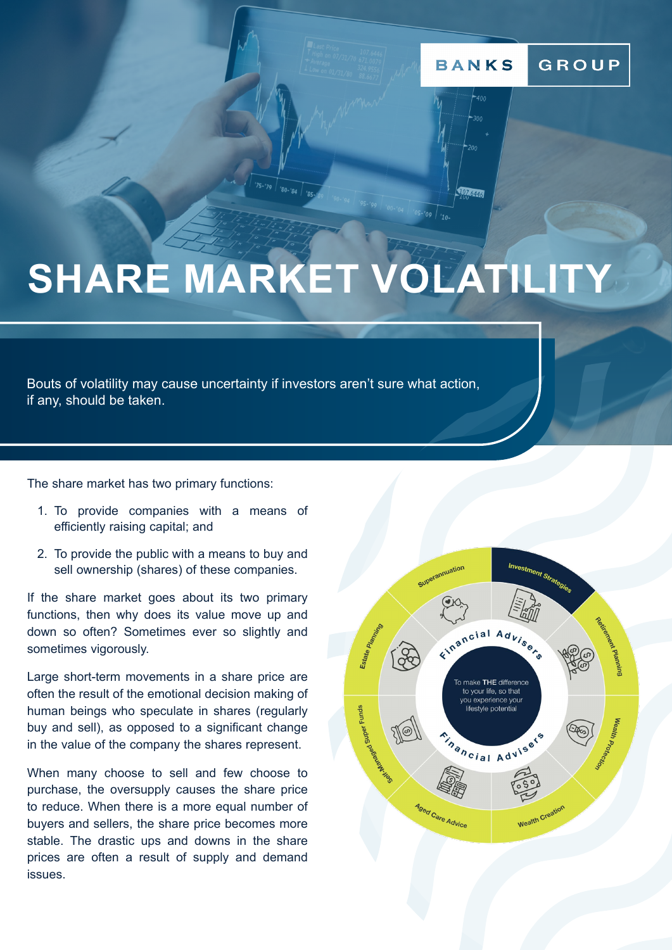#### GROUP **BANKS**



# **SHARE MARKET VOLATILITY**

Bouts of volatility may cause uncertainty if investors aren't sure what action, if any, should be taken.

The share market has two primary functions:

- 1. To provide companies with a means of efficiently raising capital; and
- 2. To provide the public with a means to buy and sell ownership (shares) of these companies.

If the share market goes about its two primary functions, then why does its value move up and down so often? Sometimes ever so slightly and sometimes vigorously.

Large short-term movements in a share price are often the result of the emotional decision making of human beings who speculate in shares (regularly buy and sell), as opposed to a significant change in the value of the company the shares represent.

When many choose to sell and few choose to purchase, the oversupply causes the share price to reduce. When there is a more equal number of buyers and sellers, the share price becomes more stable. The drastic ups and downs in the share prices are often a result of supply and demand issues.

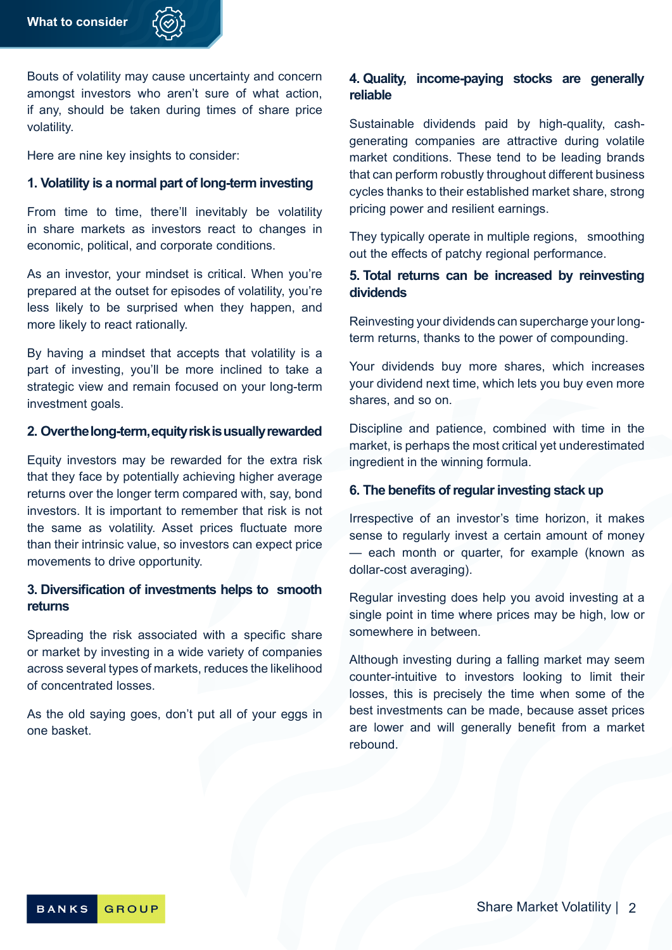Bouts of volatility may cause uncertainty and concern amongst investors who aren't sure of what action, if any, should be taken during times of share price volatility.

Here are nine key insights to consider:

#### **1. Volatility is a normal part of long-term investing**

From time to time, there'll inevitably be volatility in share markets as investors react to changes in economic, political, and corporate conditions.

As an investor, your mindset is critical. When you're prepared at the outset for episodes of volatility, you're less likely to be surprised when they happen, and more likely to react rationally.

By having a mindset that accepts that volatility is a part of investing, you'll be more inclined to take a strategic view and remain focused on your long-term investment goals.

#### **2. Over the long-term, equity risk is usually rewarded**

Equity investors may be rewarded for the extra risk that they face by potentially achieving higher average returns over the longer term compared with, say, bond investors. It is important to remember that risk is not the same as volatility. Asset prices fluctuate more than their intrinsic value, so investors can expect price movements to drive opportunity.

#### **3. Diversification of investments helps to smooth returns**

Spreading the risk associated with a specific share or market by investing in a wide variety of companies across several types of markets, reduces the likelihood of concentrated losses.

As the old saying goes, don't put all of your eggs in one basket.

### **4. Quality, income-paying stocks are generally reliable**

Sustainable dividends paid by high-quality, cashgenerating companies are attractive during volatile market conditions. These tend to be leading brands that can perform robustly throughout different business cycles thanks to their established market share, strong pricing power and resilient earnings.

They typically operate in multiple regions, smoothing out the effects of patchy regional performance.

#### **5. Total returns can be increased by reinvesting dividends**

Reinvesting your dividends can supercharge your longterm returns, thanks to the power of compounding.

Your dividends buy more shares, which increases your dividend next time, which lets you buy even more shares, and so on.

Discipline and patience, combined with time in the market, is perhaps the most critical yet underestimated ingredient in the winning formula.

#### **6. The benefits of regular investing stack up**

Irrespective of an investor's time horizon, it makes sense to regularly invest a certain amount of money — each month or quarter, for example (known as dollar-cost averaging).

Regular investing does help you avoid investing at a single point in time where prices may be high, low or somewhere in between.

Although investing during a falling market may seem counter-intuitive to investors looking to limit their losses, this is precisely the time when some of the best investments can be made, because asset prices are lower and will generally benefit from a market rebound.